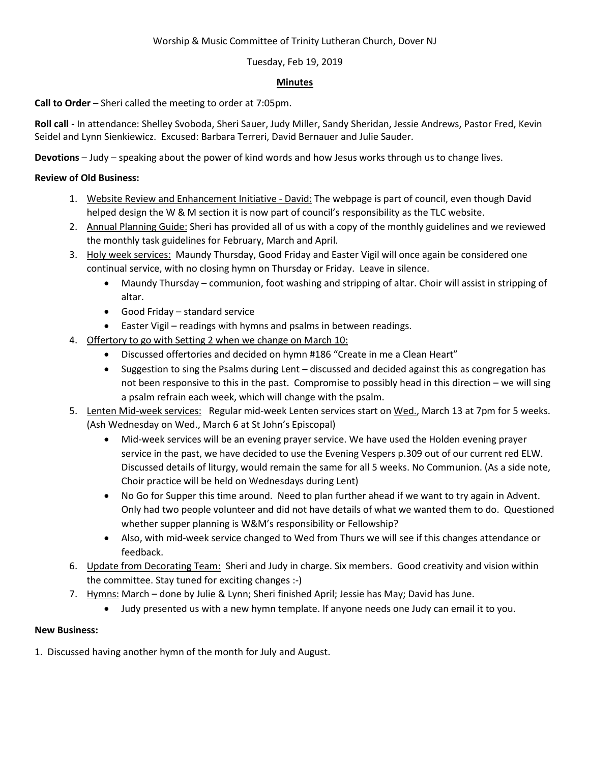## Worship & Music Committee of Trinity Lutheran Church, Dover NJ

## Tuesday, Feb 19, 2019

## **Minutes**

**Call to Order** – Sheri called the meeting to order at 7:05pm.

**Roll call -** In attendance: Shelley Svoboda, Sheri Sauer, Judy Miller, Sandy Sheridan, Jessie Andrews, Pastor Fred, Kevin Seidel and Lynn Sienkiewicz. Excused: Barbara Terreri, David Bernauer and Julie Sauder.

**Devotions** – Judy – speaking about the power of kind words and how Jesus works through us to change lives.

## **Review of Old Business:**

- 1. Website Review and Enhancement Initiative David: The webpage is part of council, even though David helped design the W & M section it is now part of council's responsibility as the TLC website.
- 2. Annual Planning Guide: Sheri has provided all of us with a copy of the monthly guidelines and we reviewed the monthly task guidelines for February, March and April.
- 3. Holy week services: Maundy Thursday, Good Friday and Easter Vigil will once again be considered one continual service, with no closing hymn on Thursday or Friday. Leave in silence.
	- Maundy Thursday communion, foot washing and stripping of altar. Choir will assist in stripping of altar.
	- Good Friday standard service
	- Easter Vigil readings with hymns and psalms in between readings.
- 4. Offertory to go with Setting 2 when we change on March 10:
	- Discussed offertories and decided on hymn #186 "Create in me a Clean Heart"
	- Suggestion to sing the Psalms during Lent discussed and decided against this as congregation has not been responsive to this in the past. Compromise to possibly head in this direction – we will sing a psalm refrain each week, which will change with the psalm.
- 5. Lenten Mid-week services: Regular mid-week Lenten services start on Wed., March 13 at 7pm for 5 weeks. (Ash Wednesday on Wed., March 6 at St John's Episcopal)
	- Mid-week services will be an evening prayer service. We have used the Holden evening prayer service in the past, we have decided to use the Evening Vespers p.309 out of our current red ELW. Discussed details of liturgy, would remain the same for all 5 weeks. No Communion. (As a side note, Choir practice will be held on Wednesdays during Lent)
	- No Go for Supper this time around. Need to plan further ahead if we want to try again in Advent. Only had two people volunteer and did not have details of what we wanted them to do. Questioned whether supper planning is W&M's responsibility or Fellowship?
	- Also, with mid-week service changed to Wed from Thurs we will see if this changes attendance or feedback.
- 6. Update from Decorating Team: Sheri and Judy in charge. Six members. Good creativity and vision within the committee. Stay tuned for exciting changes :-)
- 7. Hymns: March done by Julie & Lynn; Sheri finished April; Jessie has May; David has June.
	- Judy presented us with a new hymn template. If anyone needs one Judy can email it to you.

# **New Business:**

1. Discussed having another hymn of the month for July and August.